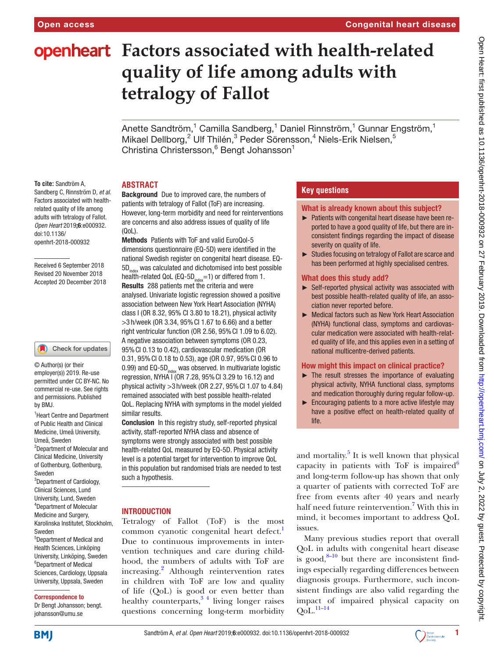# **openheart** Factors associated with health-related **quality of life among adults with tetralogy of Fallot**

Anette Sandtröm, $^1$  Camilla Sandberg, $^1$  Daniel Rinnström, $^1$  Gunnar Engström, $^1$ Mikael Dellborg, $^2$  Ulf Thilén, $^3$  Peder Sörensson, $^4$  Niels-Erik Nielsen, $^5$ Christina Christersson,<sup>6</sup> Bengt Johansson<sup>1</sup>

## **Abstract**

**To cite:** Sandtröm A, Sandberg C, Rinnström D*, et al*. Factors associated with healthrelated quality of life among adults with tetralogy of Fallot*. Open Heart* 2019;6:e000932. doi:10.1136/ openhrt-2018-000932

Received 6 September 2018 Revised 20 November 2018 Accepted 20 December 2018

#### Check for updates

© Author(s) (or their employer(s)) 2019. Re-use permitted under CC BY-NC. No commercial re-use. See rights and permissions. Published by BMJ.

<sup>1</sup> Heart Centre and Department of Public Health and Clinical Medicine, Umeå University, Umeå, Sweden <sup>2</sup>Department of Molecular and Clinical Medicine, University of Gothenburg, Gothenburg, Sweden <sup>3</sup>Department of Cardiology, Clinical Sciences, Lund University, Lund, Sweden 4 Department of Molecular Medicine and Surgery, Karolinska Institutet, Stockholm, Sweden 5 Department of Medical and Health Sciences, Linköping University, Linköping, Sweden 6 Department of Medical Sciences, Cardiology, Uppsala

# Correspondence to

Dr Bengt Johansson; bengt. johansson@umu.se

University, Uppsala, Sweden

Background Due to improved care, the numbers of patients with tetralogy of Fallot (ToF) are increasing. However, long-term morbidity and need for reinterventions are concerns and also address issues of quality of life (QoL).

Methods Patients with ToF and valid EuroQol-5 dimensions questionnaire (EQ-5D) were identified in the national Swedish register on congenital heart disease. EQ-5D<sub>index</sub> was calculated and dichotomised into best possible health-related QoL (EQ-5D $_{index}=1$ ) or differed from 1. Results 288 patients met the criteria and were analysed. Univariate logistic regression showed a positive association between New York Heart Association (NYHA) class I (OR 8.32, 95% CI 3.80 to 18.21), physical activity >3 h/week (OR 3.34, 95%CI 1.67 to 6.66) and a better right ventricular function (OR  $2.56$ ,  $95\%$  Cl  $1.09$  to  $6.02$ ). A negative association between symptoms (OR 0.23, 95%CI 0.13 to 0.42), cardiovascular medication (OR 0.31, 95%CI 0.18 to 0.53), age (OR 0.97, 95%CI 0.96 to 0.99) and  $EQ-5D<sub>index</sub>$  was observed. In multivariate logistic regression, NYHA I (OR 7.28, 95%CI 3.29 to 16.12) and physical activity >3 h/week (OR 2.27, 95%CI 1.07 to 4.84) remained associated with best possible health-related QoL. Replacing NYHA with symptoms in the model yielded similar results.

Conclusion In this registry study, self-reported physical activity, staff-reported NYHA class and absence of symptoms were strongly associated with best possible health-related QoL measured by EQ-5D. Physical activity level is a potential target for intervention to improve QoL in this population but randomised trials are needed to test such a hypothesis.

## **INTRODUCTION**

Tetralogy of Fallot (ToF) is the most common cyanotic congenital heart defect.<sup>1</sup> Due to continuous improvements in intervention techniques and care during childhood, the numbers of adults with ToF are increasing.<sup>[2](#page-4-1)</sup> Although reintervention rates in children with ToF are low and quality of life (QoL) is good or even better than healthy counterparts, $3 \times 4$  living longer raises questions concerning long-term morbidity

# **Key questions**

## What is already known about this subject?

- ► Patients with congenital heart disease have been reported to have a good quality of life, but there are inconsistent findings regarding the impact of disease severity on quality of life.
- ► Studies focusing on tetralogy of Fallot are scarce and has been performed at highly specialised centres.

## What does this study add?

- ► Self-reported physical activity was associated with best possible health-related quality of life, an association never reported before.
- ► Medical factors such as New York Heart Association (NYHA) functional class, symptoms and cardiovascular medication were associated with health-related quality of life, and this applies even in a setting of national multicentre-derived patients.

## How might this impact on clinical practice?

- ► The result stresses the importance of evaluating physical activity, NYHA functional class, symptoms and medication thoroughly during regular follow-up.
- ► Encouraging patients to a more active lifestyle may have a positive effect on health-related quality of life.

and mortality.<sup>[5](#page-4-3)</sup> It is well known that physical capacity in patients with ToF is impaired  $6$ and long-term follow-up has shown that only a quarter of patients with corrected ToF are free from events after 40 years and nearly half need future reintervention.<sup>[7](#page-4-5)</sup> With this in mind, it becomes important to address QoL issues.

Many previous studies report that overall QoL in adults with congenital heart disease is good, $8-10$  but there are inconsistent findings especially regarding differences between diagnosis groups. Furthermore, such inconsistent findings are also valid regarding the impact of impaired physical capacity on  $QoL.$ <sup>11–14</sup>

**BMJ** 

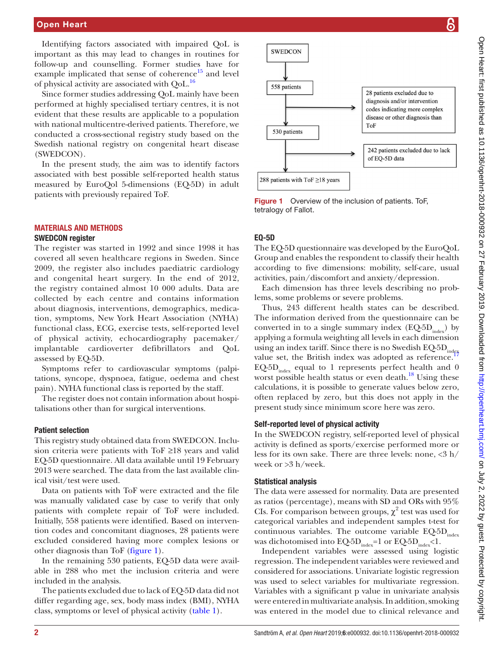Identifying factors associated with impaired QoL is important as this may lead to changes in routines for follow-up and counselling. Former studies have for example implicated that sense of coherence $^{15}$  and level of physical activity are associated with QoL.<sup>[16](#page-5-1)</sup>

Since former studies addressing QoL mainly have been performed at highly specialised tertiary centres, it is not evident that these results are applicable to a population with national multicentre-derived patients. Therefore, we conducted a cross-sectional registry study based on the Swedish national registry on congenital heart disease (SWEDCON).

In the present study, the aim was to identify factors associated with best possible self-reported health status measured by EuroQol 5-dimensions (EQ-5D) in adult patients with previously repaired ToF.

## Materials and methods

#### SWEDCON register

The register was started in 1992 and since 1998 it has covered all seven healthcare regions in Sweden. Since 2009, the register also includes paediatric cardiology and congenital heart surgery. In the end of 2012, the registry contained almost 10 000 adults. Data are collected by each centre and contains information about diagnosis, interventions, demographics, medication, symptoms, New York Heart Association (NYHA) functional class, ECG, exercise tests, self-reported level of physical activity, echocardiography pacemaker/ implantable cardioverter defibrillators and QoL assessed by EQ-5D.

Symptoms refer to cardiovascular symptoms (palpitations, syncope, dyspnoea, fatigue, oedema and chest pain). NYHA functional class is reported by the staff.

The register does not contain information about hospitalisations other than for surgical interventions.

## Patient selection

This registry study obtained data from SWEDCON. Inclusion criteria were patients with ToF ≥18 years and valid EQ-5D questionnaire. All data available until 19 February 2013 were searched. The data from the last available clinical visit/test were used.

Data on patients with ToF were extracted and the file was manually validated case by case to verify that only patients with complete repair of ToF were included. Initially, 558 patients were identified. Based on intervention codes and concomitant diagnoses, 28 patients were excluded considered having more complex lesions or other diagnosis than ToF ([figure](#page-1-0) 1).

In the remaining 530 patients, EQ-5D data were available in 288 who met the inclusion criteria and were included in the analysis.

The patients excluded due to lack of EQ-5D data did not differ regarding age, sex, body mass index (BMI), NYHA class, symptoms or level of physical activity ([table](#page-2-0) 1).



<span id="page-1-0"></span>Figure 1 Overview of the inclusion of patients. To F. tetralogy of Fallot.

## EQ-5D

The EQ-5D questionnaire was developed by the EuroQoL Group and enables the respondent to classify their health according to five dimensions: mobility, self-care, usual activities, pain/discomfort and anxiety/depression.

Each dimension has three levels describing no problems, some problems or severe problems.

Thus, 243 different health states can be described. The information derived from the questionnaire can be converted in to a single summary index  $(EQ-5D<sub>index</sub>)$  by applying a formula weighting all levels in each dimension using an index tariff. Since there is no Swedish  $EQ5D_{indeg}$ value set, the British index was adopted as reference.  $EQ-5D<sub>index</sub>$  equal to 1 represents perfect health and 0 worst possible health status or even death.<sup>[18](#page-5-3)</sup> Using these calculations, it is possible to generate values below zero, often replaced by zero, but this does not apply in the present study since minimum score here was zero.

## Self-reported level of physical activity

In the SWEDCON registry, self-reported level of physical activity is defined as sports/exercise performed more or less for its own sake. There are three levels: none,  $<\!\!3$  h/ week or >3 h/week.

## Statistical analysis

The data were assessed for normality. Data are presented as ratios (percentage), means with SD and ORs with 95% CIs. For comparison between groups,  $\chi^2$  test was used for categorical variables and independent samples t-test for continuous variables. The outcome variable  $EQ-5D<sub>index</sub>$ was dichotomised into  $EQ-5D_{index}=1$  or  $EQ-5D_{index}<1$ .

Independent variables were assessed using logistic regression. The independent variables were reviewed and considered for associations. Univariate logistic regression was used to select variables for multivariate regression. Variables with a significant p value in univariate analysis were entered in multivariate analysis. In addition, smoking was entered in the model due to clinical relevance and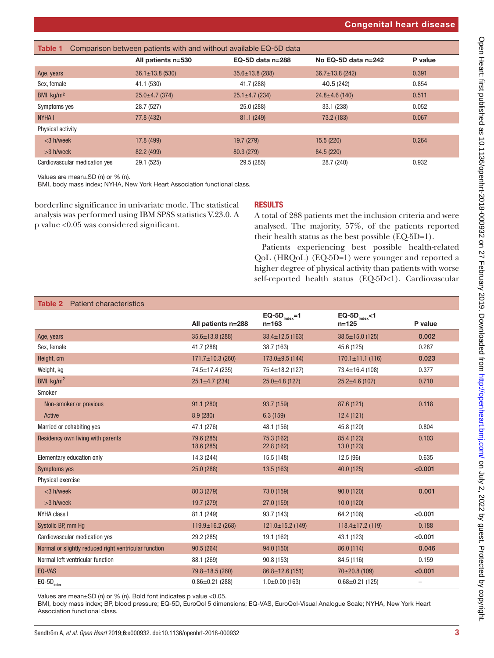# Congenital heart disease

<span id="page-2-0"></span>

| Comparison between patients with and without available EQ-5D data<br>Table 1 |                       |                       |                       |         |  |  |
|------------------------------------------------------------------------------|-----------------------|-----------------------|-----------------------|---------|--|--|
|                                                                              | All patients n=530    | EQ-5D data $n=288$    | No EQ-5D data n=242   | P value |  |  |
| Age, years                                                                   | $36.1 \pm 13.8$ (530) | $35.6 \pm 13.8$ (288) | $36.7 \pm 13.8$ (242) | 0.391   |  |  |
| Sex, female                                                                  | 41.1 (530)            | 41.7 (288)            | 40.5 (242)            | 0.854   |  |  |
| BMI, kg/m <sup>2</sup>                                                       | $25.0 \pm 4.7$ (374)  | $25.1 \pm 4.7$ (234)  | $24.8 \pm 4.6$ (140)  | 0.511   |  |  |
| Symptoms yes                                                                 | 28.7 (527)            | 25.0 (288)            | 33.1 (238)            | 0.052   |  |  |
| <b>NYHAI</b>                                                                 | 77.8 (432)            | 81.1 (249)            | 73.2 (183)            | 0.067   |  |  |
| Physical activity                                                            |                       |                       |                       |         |  |  |
| $<$ 3 h/week                                                                 | 17.8 (499)            | 19.7 (279)            | 15.5(220)             | 0.264   |  |  |
| $>3$ h/week                                                                  | 82.2 (499)            | 80.3 (279)            | 84.5 (220)            |         |  |  |
| Cardiovascular medication yes                                                | 29.1 (525)            | 29.5 (285)            | 28.7 (240)            | 0.932   |  |  |

Values are mean±SD (n) or % (n).

BMI, body mass index; NYHA, New York Heart Association functional class.

borderline significance in univariate mode. The statistical analysis was performed using IBM SPSS statistics V.23.0. A p value <0.05 was considered significant.

## **RESULTS**

A total of 288 patients met the inclusion criteria and were analysed. The majority, 57%, of the patients reported their health status as the best possible (EQ-5D=1).

Patients experiencing best possible health-related QoL (HRQoL) (EQ-5D=1) were younger and reported a higher degree of physical activity than patients with worse self-reported health status (EQ-5D<1). Cardiovascular

#### <span id="page-2-1"></span>Table 2 Patient characteristics All patients n=288  $EQ-5D_{index}=1$ n=163  $EQ-5D_{index}<1$ <br>n=125 P value Age, years 35.6±13.8 (288) 33.4±12.5 (163) 38.5±15.0 (125) 0.002 Sex, female 41.7 (288) 38.7 (163) 45.6 (125) 0.287 Height, cm 170.1±11.1 (116) 0.023 Weight, kg 74.5±17.4 (235) 75.4±18.2 (127) 73.4±16.4 (108) 0.377 BMI, kg/m<sup>2</sup> 25.1 $\pm$ 4.7 (234) 25.0 $\pm$ 4.8 (127) 25.0 $\pm$ 4.8 (127) 25.2 $\pm$ 4.6 (107) 0.710 Smoker Non-smoker or previous **91.1 (280)** 93.7 (159) 87.6 (121) 87.6 (121) 87.6 (121) Active 8.9 (280) 6.3 (159) 12.4 (121) Married or cohabiting yes 6.804 (17.1 (276) 48.1 (156) 48.1 (156) 45.8 (120) 0.804 Residency own living with parents 79.6 (285) 18.6 (285) 75.3 (162) 22.8 (162) 85.4 (123) 13.0 (123) 0.103 Elementary education only 14.3 (244) 15.5 (148) 15.5 (148) 12.5 (96) 12.5 (96) 0.635 Symptoms yes 20.001 25.0 (288) 25.0 (288) 25.0 (288) 25.0 (288) 25.0 (288) 25.0 (288) 25.0 (3125) 25.0 (3125) Physical exercise <3 h/week 80.3 (279) 73.0 (159) 90.0 (120) 0.001 >3 h/week 19.7 (279) 27.0 (159) 10.0 (120) NYHA class I 81.1 (249) 93.7 (143) 64.2 (106) <0.001 Systolic BP, mm Hg 119.9±16.2 (268) 121.0±15.2 (149) 118.4±17.2 (119) 0.188 Cardiovascular medication yes  $29.2(285)$  19.1 (162) 43.1 (123) <0.001 Normal or slightly reduced right ventricular function 90.5 (264) 94.0 (150) 86.0 (114) 86.0 (114) Normal left ventricular function 88.1 (269) 90.8 (153) 84.5 (116) 0.159  $EQ-VAS$   $79.8{\pm}18.5$  (260)  $86.8{\pm}12.6$  (151)  $70{\pm}20.8$  (109)  $40.001$  $EQ-\frac{5D_{\text{index}}}{\text{max}}$  0.86±0.21 (288) 1.0±0.00 (163) 0.68±0.21 (125)

Values are mean±SD (n) or % (n). Bold font indicates p value <0.05.

BMI, body mass index; BP, blood pressure; EQ-5D, EuroQol 5 dimensions; EQ-VAS, EuroQol-Visual Analogue Scale; NYHA, New York Heart Association functional class.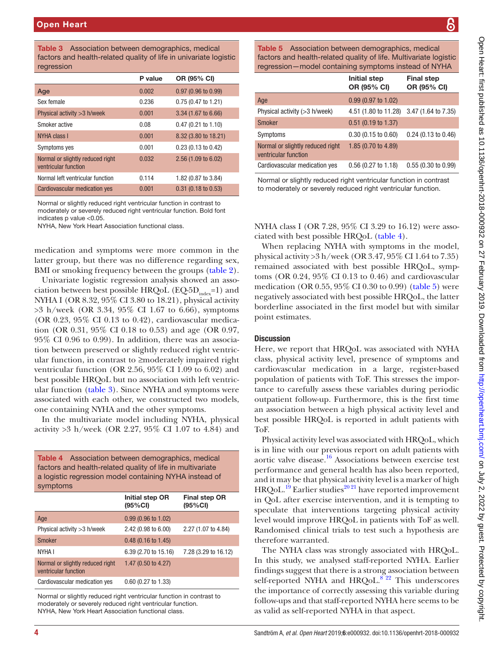<span id="page-3-0"></span>Table 3 Association between demographics, medical factors and health-related quality of life in univariate logistic regression

|                                                          | P value | OR (95% CI)                   |
|----------------------------------------------------------|---------|-------------------------------|
| Age                                                      | 0.002   | $0.97$ (0.96 to 0.99)         |
| Sex female                                               | 0.236   | $0.75(0.47 \text{ to } 1.21)$ |
| Physical activity $>3$ h/week                            | 0.001   | 3.34 (1.67 to 6.66)           |
| Smoker active                                            | 0.08    | $0.47(0.21 \text{ to } 1.10)$ |
| <b>NYHA class I</b>                                      | 0.001   | 8.32 (3.80 to 18.21)          |
| Symptoms yes                                             | 0.001   | $0.23$ (0.13 to 0.42)         |
| Normal or slightly reduced right<br>ventricular function | 0.032   | 2.56 (1.09 to 6.02)           |
| Normal left ventricular function                         | 0.114   | 1.82 (0.87 to 3.84)           |
| Cardiovascular medication yes                            | 0.001   | $0.31$ (0.18 to 0.53)         |

Normal or slightly reduced right ventricular function in contrast to moderately or severely reduced right ventricular function. Bold font indicates p value <0.05.

NYHA, New York Heart Association functional class.

medication and symptoms were more common in the latter group, but there was no difference regarding sex, BMI or smoking frequency between the groups [\(table](#page-2-1) 2).

Univariate logistic regression analysis showed an association between best possible HRQoL ( $EQ-5D<sub>index</sub>=1$ ) and NYHA I (OR 8.32, 95% CI 3.80 to 18.21), physical activity >3 h/week (OR 3.34, 95% CI 1.67 to 6.66), symptoms (OR 0.23,  $95\%$  CI 0.13 to 0.42), cardiovascular medication (OR 0.31, 95% CI 0.18 to 0.53) and age (OR 0.97, 95% CI 0.96 to 0.99). In addition, there was an association between preserved or slightly reduced right ventricular function, in contrast to ≥moderately impaired right ventricular function (OR 2.56, 95% CI 1.09 to 6.02) and best possible HRQoL but no association with left ventricular function [\(table](#page-3-0) 3). Since NYHA and symptoms were associated with each other, we constructed two models, one containing NYHA and the other symptoms.

In the multivariate model including NYHA, physical activity >3 h/week (OR 2.27, 95% CI 1.07 to 4.84) and

<span id="page-3-1"></span>

| <b>Table 4</b> Association between demographics, medical<br>factors and health-related quality of life in multivariate<br>a logistic regression model containing NYHA instead of<br>symptoms |                                |                                  |  |  |  |
|----------------------------------------------------------------------------------------------------------------------------------------------------------------------------------------------|--------------------------------|----------------------------------|--|--|--|
|                                                                                                                                                                                              | Initial step OR<br>(95%CI)     | <b>Final step OR</b><br>(95% CI) |  |  |  |
| Age                                                                                                                                                                                          | $0.99(0.96 \text{ to } 1.02)$  |                                  |  |  |  |
| Physical activity $>3$ h/week                                                                                                                                                                | $2.42(0.98 \text{ to } 6.00)$  | 2.27 (1.07 to 4.84)              |  |  |  |
| <b>Smoker</b>                                                                                                                                                                                | $0.48(0.16 \text{ to } 1.45)$  |                                  |  |  |  |
| NYHA I                                                                                                                                                                                       | 6.39 (2.70 to 15.16)           | 7.28 (3.29 to 16.12)             |  |  |  |
| Normal or slightly reduced right<br>ventricular function                                                                                                                                     | 1.47 $(0.50 \text{ to } 4.27)$ |                                  |  |  |  |
| Cardiovascular medication yes                                                                                                                                                                | $0.60$ (0.27 to 1.33)          |                                  |  |  |  |

Normal or slightly reduced right ventricular function in contrast to moderately or severely reduced right ventricular function. NYHA, New York Heart Association functional class.

<span id="page-3-2"></span>Table 5 Association between demographics, medical factors and health-related quality of life. Multivariate logistic regression—model containing symptoms instead of NYHA

| <u>regression – moder containing symptoms instead or iviti<i>t</i>iv</u> |                               |                                  |  |  |
|--------------------------------------------------------------------------|-------------------------------|----------------------------------|--|--|
|                                                                          | Initial step<br>OR (95% CI)   | <b>Final step</b><br>OR (95% CI) |  |  |
| Age                                                                      | $0.99(0.97 \text{ to } 1.02)$ |                                  |  |  |
| Physical activity $(>3$ h/week)                                          | 4.51 (1.80 to 11.28)          | 3.47 (1.64 to 7.35)              |  |  |
| <b>Smoker</b>                                                            | $0.51$ (0.19 to 1.37)         |                                  |  |  |
| Symptoms                                                                 | $0.30(0.15 \text{ to } 0.60)$ | $0.24$ (0.13 to 0.46)            |  |  |
| Normal or slightly reduced right<br>ventricular function                 | 1.85 (0.70 to 4.89)           |                                  |  |  |
| Cardiovascular medication yes                                            | $0.56$ (0.27 to 1.18)         | 0.55(0.30 to 0.99)               |  |  |

Normal or slightly reduced right ventricular function in contrast to moderately or severely reduced right ventricular function.

NYHA class I (OR 7.28, 95% CI 3.29 to 16.12) were associated with best possible HRQoL ([table](#page-3-1) 4).

When replacing NYHA with symptoms in the model, physical activity >3 h/week (OR 3.47, 95% CI 1.64 to 7.35) remained associated with best possible HRQoL, symptoms (OR 0.24, 95% CI 0.13 to 0.46) and cardiovascular medication (OR 0.55, 95% CI 0.30 to 0.99) ([table](#page-3-2) 5) were negatively associated with best possible HRQoL, the latter borderline associated in the first model but with similar point estimates.

#### **Discussion**

Here, we report that HRQoL was associated with NYHA class, physical activity level, presence of symptoms and cardiovascular medication in a large, register-based population of patients with ToF. This stresses the importance to carefully assess these variables during periodic outpatient follow-up. Furthermore, this is the first time an association between a high physical activity level and best possible HRQoL is reported in adult patients with ToF.

Physical activity level was associated with HRQoL, which is in line with our previous report on adult patients with aortic valve disease[.16](#page-5-1) Associations between exercise test performance and general health has also been reported, and it may be that physical activity level is a marker of high HRQoL.<sup>19</sup> Earlier studies<sup>2021</sup> have reported improvement in QoL after exercise intervention, and it is tempting to speculate that interventions targeting physical activity level would improve HRQoL in patients with ToF as well. Randomised clinical trials to test such a hypothesis are therefore warranted.

The NYHA class was strongly associated with HRQoL. In this study, we analysed staff-reported NYHA. Earlier findings suggest that there is a strong association between self-reported NYHA and  $HRQoL$ <sup>8 22</sup> This underscores the importance of correctly assessing this variable during follow-ups and that staff-reported NYHA here seems to be as valid as self-reported NYHA in that aspect.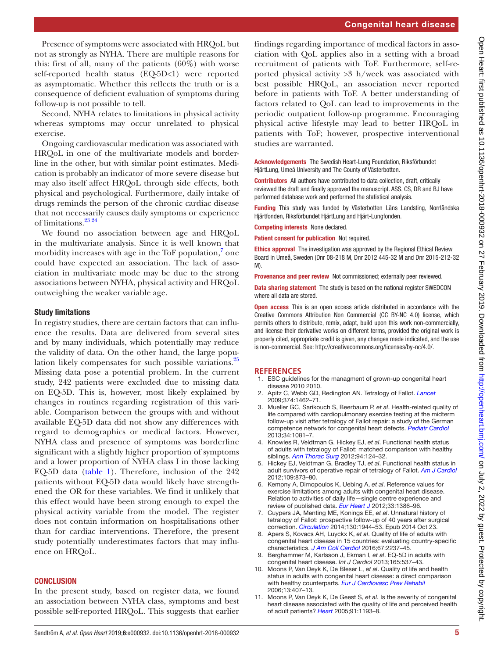Presence of symptoms were associated with HRQoL but not as strongly as NYHA. There are multiple reasons for this: first of all, many of the patients  $(60\%)$  with worse self-reported health status (EQ-5D<1) were reported as asymptomatic. Whether this reflects the truth or is a consequence of deficient evaluation of symptoms during follow-up is not possible to tell.

Second, NYHA relates to limitations in physical activity whereas symptoms may occur unrelated to physical exercise.

Ongoing cardiovascular medication was associated with HRQoL in one of the multivariate models and borderline in the other, but with similar point estimates. Medication is probably an indicator of more severe disease but may also itself affect HRQoL through side effects, both physical and psychological. Furthermore, daily intake of drugs reminds the person of the chronic cardiac disease that not necessarily causes daily symptoms or experience of limitations.[23 24](#page-5-6)

We found no association between age and HRQoL in the multivariate analysis. Since it is well known that morbidity increases with age in the ToF population,<sup>[7](#page-4-5)</sup> one could have expected an association. The lack of association in multivariate mode may be due to the strong associations between NYHA, physical activity and HRQoL outweighing the weaker variable age.

# Study limitations

In registry studies, there are certain factors that can influence the results. Data are delivered from several sites and by many individuals, which potentially may reduce the validity of data. On the other hand, the large popu-lation likely compensates for such possible variations.<sup>[25](#page-5-7)</sup> Missing data pose a potential problem. In the current study, 242 patients were excluded due to missing data on EQ-5D. This is, however, most likely explained by changes in routines regarding registration of this variable. Comparison between the groups with and without available EQ-5D data did not show any differences with regard to demographics or medical factors. However, NYHA class and presence of symptoms was borderline significant with a slightly higher proportion of symptoms and a lower proportion of NYHA class I in those lacking EQ-5D data ([table](#page-2-0) 1). Therefore, inclusion of the 242 patients without EQ-5D data would likely have strengthened the OR for these variables. We find it unlikely that this effect would have been strong enough to expel the physical activity variable from the model. The register does not contain information on hospitalisations other than for cardiac interventions. Therefore, the present study potentially underestimates factors that may influence on HRQoL.

# **CONCLUSION**

In the present study, based on register data, we found an association between NYHA class, symptoms and best possible self-reported HRQoL. This suggests that earlier findings regarding importance of medical factors in association with QoL applies also in a setting with a broad recruitment of patients with ToF. Furthermore, self-reported physical activity >3 h/week was associated with best possible HRQoL, an association never reported before in patients with ToF. A better understanding of factors related to QoL can lead to improvements in the periodic outpatient follow-up programme. Encouraging physical active lifestyle may lead to better HRQoL in patients with ToF; however, prospective interventional studies are warranted.

Acknowledgements The Swedish Heart-Lung Foundation, Riksförbundet HjärtLung, Umeå University and The County of Västerbotten.

Contributors All authors have contributed to data collection, draft, critically reviewed the draft and finally approved the manuscript. ASS, CS, DR and BJ have performed database work and performed the statistical analysis.

Funding This study was funded by Västerbotten Läns Landsting, Norrländska Hjärtfonden, Riksförbundet HjärtLung and Hjärt-Lungfonden.

Competing interests None declared.

Patient consent for publication Not required.

Ethics approval The investigation was approved by the Regional Ethical Review Board in Umeå, Sweden (Dnr 08-218 M, Dnr 2012 445-32 M and Dnr 2015-212-32  $M$ 

Provenance and peer review Not commissioned; externally peer reviewed.

Data sharing statement The study is based on the national register SWEDCON where all data are stored.

**Open access** This is an open access article distributed in accordance with the Creative Commons Attribution Non Commercial (CC BY-NC 4.0) license, which permits others to distribute, remix, adapt, build upon this work non-commercially, and license their derivative works on different terms, provided the original work is properly cited, appropriate credit is given, any changes made indicated, and the use is non-commercial. See: [http://creativecommons.org/licenses/by-nc/4.0/.](http://creativecommons.org/licenses/by-nc/4.0/)

# **References**

- <span id="page-4-0"></span>1. ESC guidelines for the managment of grown-up congenital heart disease 2010 2010.
- <span id="page-4-1"></span>2. Apitz C, Webb GD, Redington AN. Tetralogy of Fallot. *[Lancet](http://dx.doi.org/10.1016/S0140-6736(09)60657-7)* 2009;374:1462–71.
- <span id="page-4-2"></span>3. Mueller GC, Sarikouch S, Beerbaum P, *et al*. Health-related quality of life compared with cardiopulmonary exercise testing at the midterm follow-up visit after tetralogy of Fallot repair: a study of the German competence network for congenital heart defects. *[Pediatr Cardiol](http://dx.doi.org/10.1007/s00246-012-0603-2)* 2013;34:1081–7.
- 4. Knowles R, Veldtman G, Hickey EJ, *et al*. Functional health status of adults with tetralogy of Fallot: matched comparison with healthy siblings. *[Ann Thorac Surg](http://dx.doi.org/10.1016/j.athoracsur.2011.09.056)* 2012;94:124–32.
- <span id="page-4-3"></span>5. Hickey EJ, Veldtman G, Bradley TJ, *et al*. Functional health status in adult survivors of operative repair of tetralogy of Fallot. *[Am J Cardiol](http://dx.doi.org/10.1016/j.amjcard.2011.10.051)* 2012;109:873–80.
- <span id="page-4-4"></span>6. Kempny A, Dimopoulos K, Uebing A, *et al*. Reference values for exercise limitations among adults with congenital heart disease. Relation to activities of daily life—single centre experience and review of published data. *[Eur Heart J](http://dx.doi.org/10.1093/eurheartj/ehr461)* 2012;33:1386–96.
- <span id="page-4-5"></span>7. Cuypers JA, Menting ME, Konings EE, *et al*. Unnatural history of tetralogy of Fallot: prospective follow-up of 40 years after surgical correction. *[Circulation](http://dx.doi.org/10.1161/CIRCULATIONAHA.114.009454)* 2014;130:1944–53. Epub 2014 Oct 23.
- <span id="page-4-6"></span>8. Apers S, Kovacs AH, Luyckx K, *et al*. Quality of life of adults with congenital heart disease in 15 countries: evaluating country-specific characteristics. *[J Am Coll Cardiol](http://dx.doi.org/10.1016/j.jacc.2016.03.477)* 2016;67:2237–45.
- 9. Berghammer M, Karlsson J, Ekman I, *et al*. EQ-5D in adults with congenital heart disease. *Int J Cardiol* 2013;165:537–43.
- 10. Moons P, Van Deyk K, De Bleser L, *et al*. Quality of life and health status in adults with congenital heart disease: a direct comparison with healthy counterparts. *[Eur J Cardiovasc Prev Rehabil](http://dx.doi.org/10.1097/00149831-200606000-00017)* 2006;13:407–13.
- <span id="page-4-7"></span>11. Moons P, Van Deyk K, De Geest S, *et al*. Is the severity of congenital heart disease associated with the quality of life and perceived health of adult patients? *[Heart](http://dx.doi.org/10.1136/hrt.2004.042234)* 2005;91:1193–8.